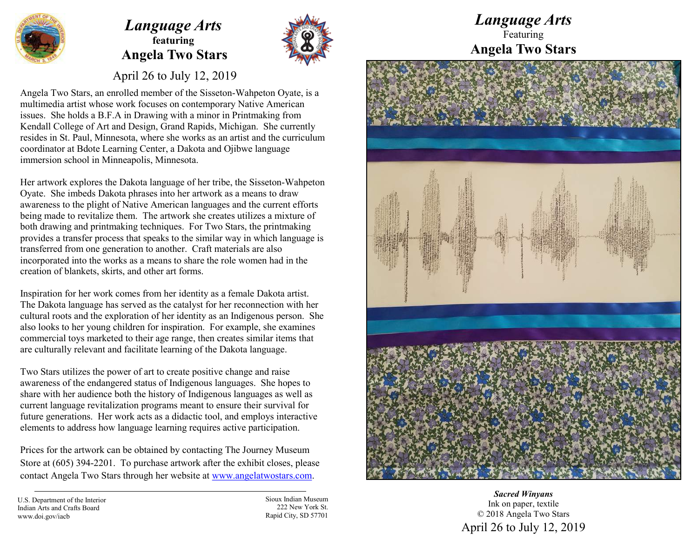

## *Language Arts* **featuring Angela Two Stars**



April 26 to July 12, 2019

Angela Two Stars, an enrolled member of the Sisseton-Wahpeton Oyate, is a multimedia artist whose work focuses on contemporary Native American issues. She holds a B.F.A in Drawing with a minor in Printmaking from Kendall College of Art and Design, Grand Rapids, Michigan. She currently resides in St. Paul, Minnesota, where she works as an artist and the curriculum coordinator at Bdote Learning Center, a Dakota and Ojibwe language immersion school in Minneapolis, Minnesota.

Her artwork explores the Dakota language of her tribe, the Sisseton-Wahpeton Oyate. She imbeds Dakota phrases into her artwork as a means to draw awareness to the plight of Native American languages and the current efforts being made to revitalize them. The artwork she creates utilizes a mixture of both drawing and printmaking techniques. For Two Stars, the printmaking provides a transfer process that speaks to the similar way in which language is transferred from one generation to another. Craft materials are also incorporated into the works as a means to share the role women had in the creation of blankets, skirts, and other art forms.

Inspiration for her work comes from her identity as a female Dakota artist. The Dakota language has served as the catalyst for her reconnection with her cultural roots and the exploration of her identity as an Indigenous person. She also looks to her young children for inspiration. For example, she examines commercial toys marketed to their age range, then creates similar items that are culturally relevant and facilitate learning of the Dakota language.

Two Stars utilizes the power of art to create positive change and raise awareness of the endangered status of Indigenous languages. She hopes to share with her audience both the history of Indigenous languages as well as current language revitalization programs meant to ensure their survival for future generations. Her work acts as a didactic tool, and employs interactive elements to address how language learning requires active participation.

Prices for the artwork can be obtained by contacting The Journey Museum Store at (605) 394-2201. To purchase artwork after the exhibit closes, please contact Angela Two Stars through her website at www.angelatwostars.com.

U.S. Department of the Interior Indian Arts and Crafts Board www.doi.gov/iacb

Sioux Indian Museum 222 New York St. Rapid City, SD 57701

*Language Arts* Featuring **Angela Two Stars**



*Sacred Winyans* Ink on paper, textile © 2018 Angela Two Stars April 26 to July 12, 2019